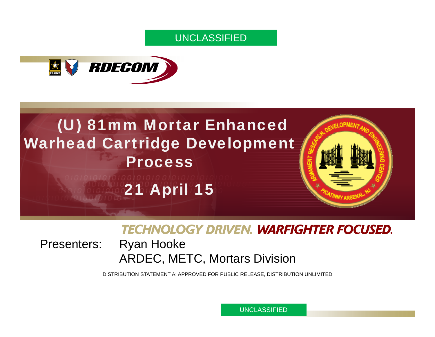#### UNCLASSIFIED



# (U) 81mm Mortar Enhanced Warhead Cartridge Development **Process** 21 April 15

### **TECHNOLOGY DRIVEN. WARFIGHTER FOCUSED.**

Presenters: Ryan Hooke ARDEC, METC, Mortars Division

DISTRIBUTION STATEMENT A: APPROVED FOR PUBLIC RELEASE, DISTRIBUTION UNLIMITED

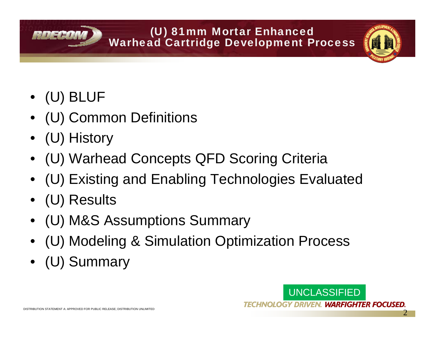#### (U) 81mm Mortar Enhanced Warhead Cartridge Development Process

• (U) BLUF

ROCHO

- (U) Common Definitions
- (U) History
- (U) Warhead Concepts QFD Scoring Criteria
- (U) Existing and Enabling Technologies Evaluated
- (U) Results
- •(U) M&S Assumptions Summary
- (U) Modeling & Simulation Optimization Process
- (U) Summary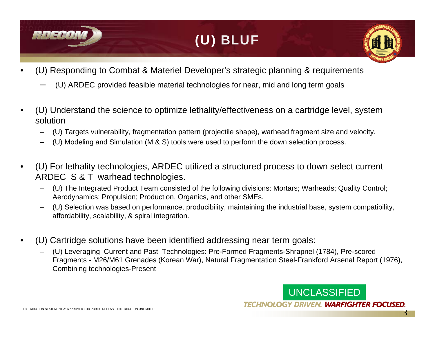

# (U) BLUF

- • (U) Responding to Combat & Materiel Developer's strategic planning & requirements
	- (U) ARDEC provided feasible material technologies for near, mid and long term goals
- • (U) Understand the science to optimize lethality/effectiveness on a cartridge level, system solution
	- (U) Targets vulnerability, fragmentation pattern (projectile shape), warhead fragment size and velocity.
	- (U) Modeling and Simulation (M & S) tools were used to perform the down selection process.
- • (U) For lethality technologies, ARDEC utilized a structured process to down select current ARDEC S & T warhead technologies.
	- (U) The Integrated Product Team consisted of the following divisions: Mortars; Warheads; Quality Control; Aerodynamics; Propulsion; Production, Organics, and other SMEs.
	- (U) Selection was based on performance, producibility, maintaining the industrial base, system compatibility, affordability, scalability, & spiral integration.
- • (U) Cartridge solutions have been identified addressing near term goals:
	- (U) Leveraging Current and Past Technologies: Pre-Formed Fragments-Shrapnel (1784), Pre-scored Fragments - M26/M61 Grenades (Korean War), Natural Fragmentation Steel-Frankford Arsenal Report (1976), Combining technologies-Present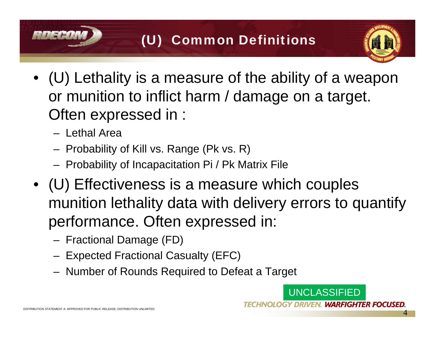# (U) Common Definitions

- (U) Lethality is a measure of the ability of a weapon or munition to inflict harm / damage on a target. Often expressed in :
	- Lethal Area
	- Probability of Kill vs. Range (Pk vs. R)
	- Probability of Incapacitation Pi / Pk Matrix File
- (U) Effectiveness is a measure which couples munition lethality data with delivery errors to quantify performance. Often expressed in:
	- Fractional Damage (FD)
	- Expected Fractional Casualty (EFC)
	- Number of Rounds Required to Defeat a Target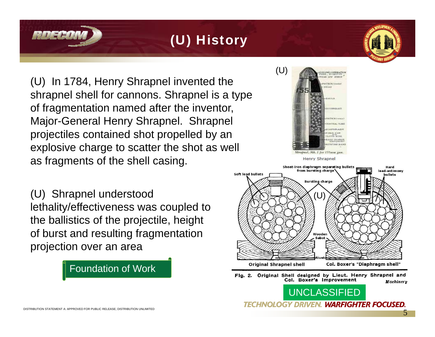# (U) History

(U) In 1784, Henry Shrapnel invented the shrapnel shell for cannons. Shrapnel is a type of fragmentation named after the inventor, Major-General Henry Shrapnel. Shrapnel projectiles contained shot propelled by an explosive charge to scatter the shot as well as fragments of the shell casing.

(U) Shrapnel understood lethality/effectiveness was coupled to the ballistics of the projectile, height of burst and resulting fragmentation projection over an area

#### Foundation of Work



Hard lead-antimony Soft lead bullets **bullets** Wooden **Original Shrapnel shell** Col. Boxer's "Diaphragm shell"

Flg. 2. Original Shell designed by Lieut. Henry Shrapnel and Col. Boxer's Improvement Machinery

UNCLASSIFIED

**TECHNOLOGY DRIVEN. WARFIGHTER FOCUSED**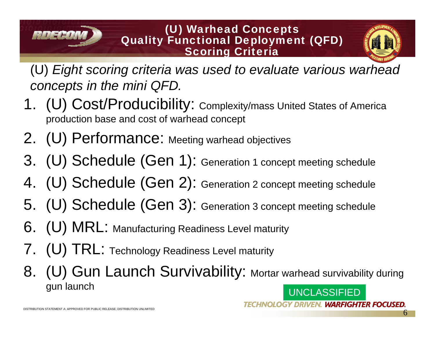#### (U) Warhead Concepts Quality Functional Deployment (QFD) Scoring Criteria

(U) *Eight scoring criteria was used to evaluate various warhead concepts in the mini QFD.*

- 1. (U) Cost/Producibility: Complexity/mass United States of America production base and cost of warhead concept
- 2. (U) Performance: Meeting warhead objectives
- 3. (U) Schedule (Gen 1): Generation 1 concept meeting schedule
- 4. (U) Schedule (Gen 2): Generation 2 concept meeting schedule
- 5. (U) Schedule (Gen 3): Generation 3 concept meeting schedule
- 6. (U) MRL: Manufacturing Readiness Level maturity
- 7. (U) TRL: Technology Readiness Level maturity
- UNCLASSIFIED8. (U) Gun Launch Survivability: Mortar warhead survivability during gun launch

**TECHNOLOGY DRIVEN. WARFIGHTER FOCUSED** 

 $A \cup B = H$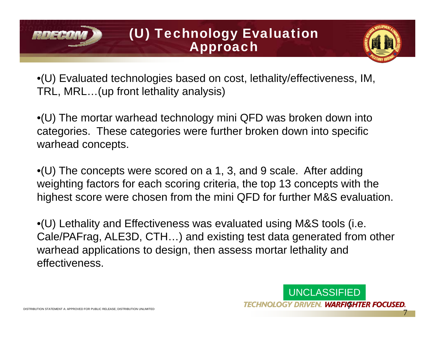### (U) Technology Evaluation Approach



•(U) Evaluated technologies based on cost, lethality/effectiveness, IM, TRL, MRL…(up front lethality analysis)

•(U) The mortar warhead technology mini QFD was broken down into categories. These categories were further broken down into specific warhead concepts.

•(U) The concepts were scored on a 1, 3, and 9 scale. After adding weighting factors for each scoring criteria, the top 13 concepts with the highest score were chosen from the mini QFD for further M&S evaluation.

•(U) Lethality and Effectiveness was evaluated using M&S tools (i.e. Cale/PAFrag, ALE3D, CTH…) and existing test data generated from other warhead applications to design, then assess mortar lethality and effectiveness.



 $5711 - H$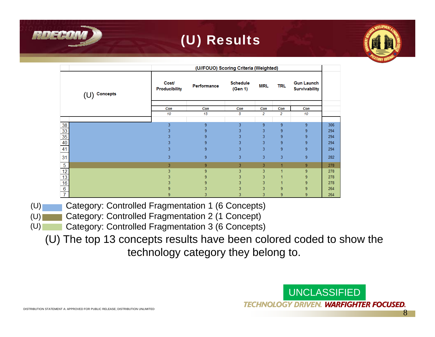# (U) Results

|                                                              |  | (U//FOUO) Scoring Criteria (Weighted) |                |                            |            |     |                                           |     |
|--------------------------------------------------------------|--|---------------------------------------|----------------|----------------------------|------------|-----|-------------------------------------------|-----|
| $(U)$ Concepts                                               |  | <b>Cost/</b><br><b>Producibility</b>  | Performance    | <b>Schedule</b><br>(Gen 1) | <b>MRL</b> | TRL | <b>Gun Launch</b><br><b>Survivability</b> |     |
|                                                              |  | Con                                   | Con            | Con                        | Con        | Con | Con                                       |     |
|                                                              |  | 10                                    | 15             | 5                          | 2          | 2   | 10                                        |     |
|                                                              |  | 3                                     | 9              | 3                          | 9          | 9   | 9                                         | 306 |
| $\frac{38}{33}$<br>$\frac{35}{40}$<br>41                     |  | 3                                     | 9              | 3                          | 3          | 9   | 9                                         | 294 |
|                                                              |  | 3                                     | 9              | 3                          | 3          | 9   | 9                                         | 294 |
|                                                              |  | 3                                     | 9              | 3                          | 3          | 9   | 9                                         | 294 |
|                                                              |  | 3                                     | 9              | 3                          | 3          | 9   | 9                                         | 294 |
| 31                                                           |  | 3                                     | 9              | 3                          | 3          | 3   | 9                                         | 282 |
|                                                              |  | 3                                     | $\overline{9}$ | 3                          | 3          |     | 9                                         | 278 |
| $rac{5}{12}$<br>$rac{12}{13}$<br>$rac{13}{6}$<br>$rac{6}{7}$ |  | 3                                     | 9              | 3                          | 3          | 1   | 9                                         | 278 |
|                                                              |  | 3                                     | 9              | 3                          | 3          |     | 9                                         | 278 |
|                                                              |  | 3                                     | 9              | 3                          | 3          |     | 9                                         | 278 |
|                                                              |  | 9                                     | 3              | 3                          | 3          | 9   | 9                                         | 264 |
|                                                              |  | 9                                     | 3              | 3                          | 3          | 9   | 9                                         | 264 |

- Category: Controlled Fragmentation 1 (6 Concepts)  $(U)$
- **Category: Controlled Fragmentation 2 (1 Concept)**  $(U)$
- Category: Controlled Fragmentation 3 (6 Concepts)  $(U)$

(U) The top 13 concepts results have been colored coded to show the technology category they belong to.

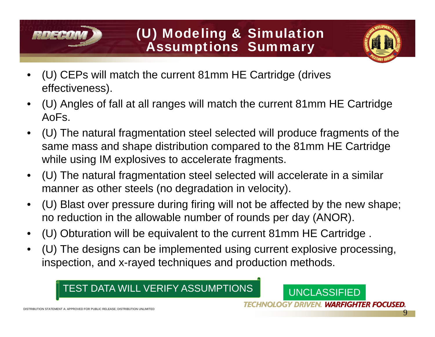# (U) Modeling & Simulation Assumptions Summary

- • (U) CEPs will match the current 81mm HE Cartridge (drives effectiveness).
- • (U) Angles of fall at all ranges will match the current 81mm HE Cartridge AoFs.
- • (U) The natural fragmentation steel selected will produce fragments of the same mass and shape distribution compared to the 81mm HE Cartridge while using IM explosives to accelerate fragments.
- • (U) The natural fragmentation steel selected will accelerate in a similar manner as other steels (no degradation in velocity).
- • (U) Blast over pressure during firing will not be affected by the new shape; no reduction in the allowable number of rounds per day (ANOR).
- •(U) Obturation will be equivalent to the current 81mm HE Cartridge .
- • (U) The designs can be implemented using current explosive processing, inspection, and x-rayed techniques and production methods.

#### TEST DATA WILL VERIFY ASSUMPTIONS

 $111777$ 

UNCLASSIFIED

**TECHNOLOGY DRIVEN. WARFIGHTER FOCUSED.**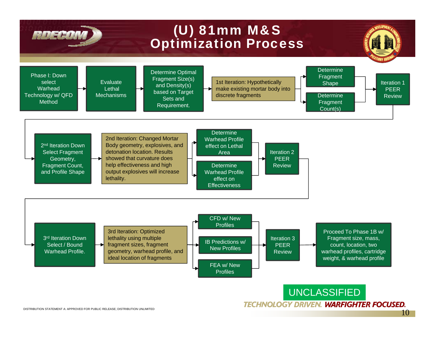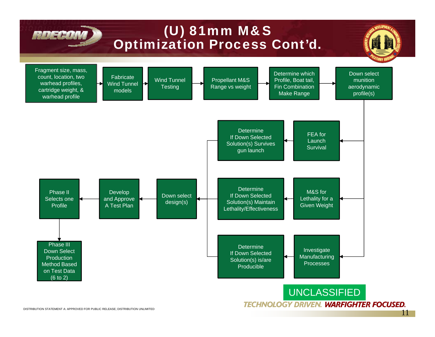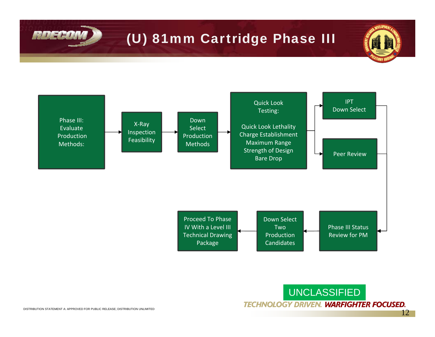# (U) 81mm Cartridge Phase III





ROECOV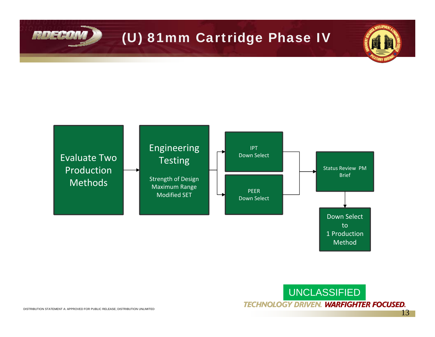# (U) 81mm Cartridge Phase IV



UNCLASSIFIED **TECHNOLOGY DRIVEN. WARFIGHTER FOCUSED.** 

ROECON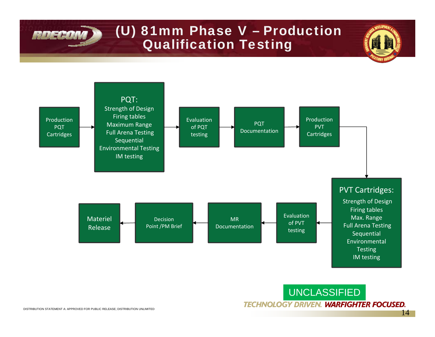# (U) 81mm Phase V – Production Qualification Testing



UNCLASSIFIED **TECHNOLOGY DRIVEN. WARFIGHTER FOCUSED.** 

**RDECOM**